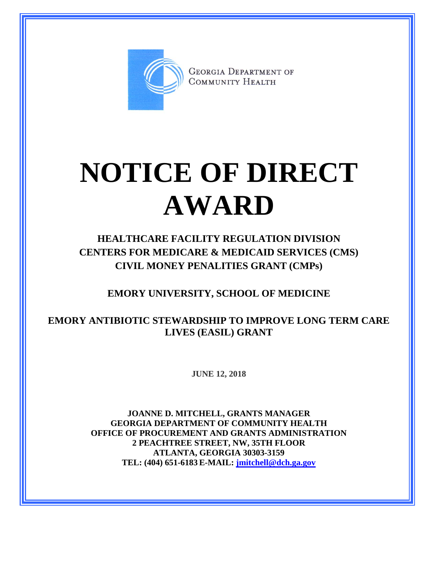

**GEORGIA DEPARTMENT OF** COMMUNITY HEALTH

## **NOTICE OF DIRECT AWARD**

**HEALTHCARE FACILITY REGULATION DIVISION CENTERS FOR MEDICARE & MEDICAID SERVICES (CMS) CIVIL MONEY PENALITIES GRANT (CMPs)**

**EMORY UNIVERSITY, SCHOOL OF MEDICINE**

**EMORY ANTIBIOTIC STEWARDSHIP TO IMPROVE LONG TERM CARE LIVES (EASIL) GRANT**

**JUNE 12, 2018**

**JOANNE D. MITCHELL, GRANTS MANAGER GEORGIA DEPARTMENT OF COMMUNITY HEALTH OFFICE OF PROCUREMENT AND GRANTS ADMINISTRATION 2 PEACHTREE STREET, NW, 35TH FLOOR ATLANTA, GEORGIA 30303-3159 TEL: (404) 651-6183 E-MAIL: [jmitchell@dch.ga.gov](mailto:awatson@dch.ga.gov)**